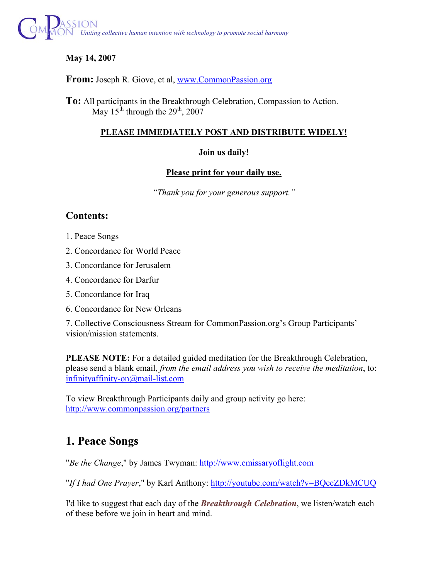

## **May 14, 2007**

**From:** Joseph R. Giove, et al, www.CommonPassion.org

**To:** All participants in the Breakthrough Celebration, Compassion to Action. May 15<sup>th</sup> through the  $29<sup>th</sup>$ , 2007

### **PLEASE IMMEDIATELY POST AND DISTRIBUTE WIDELY!**

### **Join us daily!**

### **Please print for your daily use.**

*"Thank you for your generous support."* 

## **Contents:**

- 1. Peace Songs
- 2. Concordance for World Peace
- 3. Concordance for Jerusalem
- 4. Concordance for Darfur
- 5. Concordance for Iraq
- 6. Concordance for New Orleans

7. Collective Consciousness Stream for CommonPassion.org's Group Participants' vision/mission statements.

**PLEASE NOTE:** For a detailed guided meditation for the Breakthrough Celebration, please send a blank email, *from the email address you wish to receive the meditation*, to: infinityaffinity-on@mail-list.com

To view Breakthrough Participants daily and group activity go here: http://www.commonpassion.org/partners

# **1. Peace Songs**

"*Be the Change*," by James Twyman: http://www.emissaryoflight.com

"*If I had One Prayer*," by Karl Anthony: http://youtube.com/watch?v=BQeeZDkMCUQ

I'd like to suggest that each day of the *Breakthrough Celebration*, we listen/watch each of these before we join in heart and mind.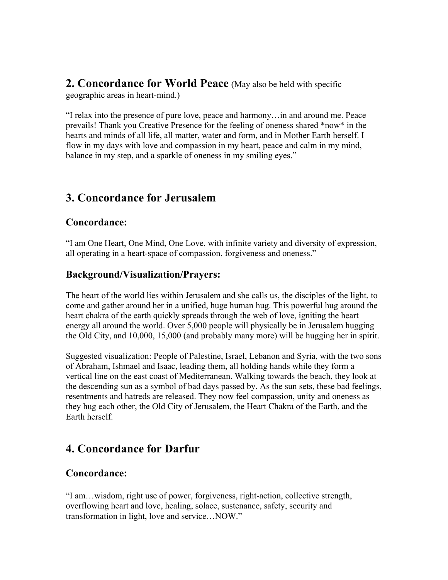**2. Concordance for World Peace** (May also be held with specific geographic areas in heart-mind.)

"I relax into the presence of pure love, peace and harmony…in and around me. Peace prevails! Thank you Creative Presence for the feeling of oneness shared \*now\* in the hearts and minds of all life, all matter, water and form, and in Mother Earth herself. I flow in my days with love and compassion in my heart, peace and calm in my mind, balance in my step, and a sparkle of oneness in my smiling eyes."

# **3. Concordance for Jerusalem**

## **Concordance:**

"I am One Heart, One Mind, One Love, with infinite variety and diversity of expression, all operating in a heart-space of compassion, forgiveness and oneness."

## **Background/Visualization/Prayers:**

The heart of the world lies within Jerusalem and she calls us, the disciples of the light, to come and gather around her in a unified, huge human hug. This powerful hug around the heart chakra of the earth quickly spreads through the web of love, igniting the heart energy all around the world. Over 5,000 people will physically be in Jerusalem hugging the Old City, and 10,000, 15,000 (and probably many more) will be hugging her in spirit.

Suggested visualization: People of Palestine, Israel, Lebanon and Syria, with the two sons of Abraham, Ishmael and Isaac, leading them, all holding hands while they form a vertical line on the east coast of Mediterranean. Walking towards the beach, they look at the descending sun as a symbol of bad days passed by. As the sun sets, these bad feelings, resentments and hatreds are released. They now feel compassion, unity and oneness as they hug each other, the Old City of Jerusalem, the Heart Chakra of the Earth, and the Earth herself.

# **4. Concordance for Darfur**

### **Concordance:**

"I am…wisdom, right use of power, forgiveness, right-action, collective strength, overflowing heart and love, healing, solace, sustenance, safety, security and transformation in light, love and service…NOW."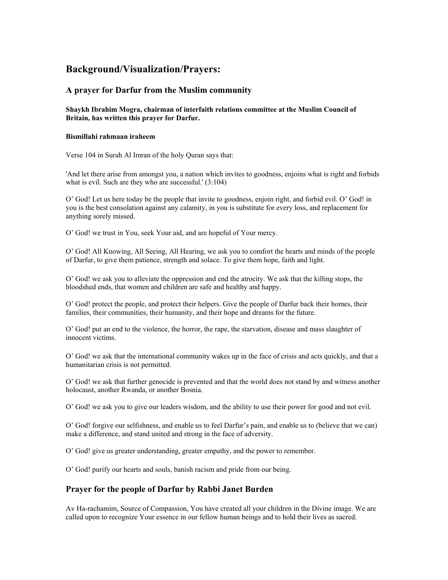## **Background/Visualization/Prayers:**

#### **A prayer for Darfur from the Muslim community**

**Shaykh Ibrahim Mogra, chairman of interfaith relations committee at the Muslim Council of Britain, has written this prayer for Darfur.** 

#### **Bismillahi rahmaan iraheem**

Verse 104 in Surah Al Imran of the holy Quran says that:

'And let there arise from amongst you, a nation which invites to goodness, enjoins what is right and forbids what is evil. Such are they who are successful.' (3:104)

O' God! Let us here today be the people that invite to goodness, enjoin right, and forbid evil. O' God! in you is the best consolation against any calamity, in you is substitute for every loss, and replacement for anything sorely missed.

O' God! we trust in You, seek Your aid, and are hopeful of Your mercy.

O' God! All Knowing, All Seeing, All Hearing, we ask you to comfort the hearts and minds of the people of Darfur, to give them patience, strength and solace. To give them hope, faith and light.

O' God! we ask you to alleviate the oppression and end the atrocity. We ask that the killing stops, the bloodshed ends, that women and children are safe and healthy and happy.

O' God! protect the people, and protect their helpers. Give the people of Darfur back their homes, their families, their communities, their humanity, and their hope and dreams for the future.

O' God! put an end to the violence, the horror, the rape, the starvation, disease and mass slaughter of innocent victims.

O' God! we ask that the international community wakes up in the face of crisis and acts quickly, and that a humanitarian crisis is not permitted.

O' God! we ask that further genocide is prevented and that the world does not stand by and witness another holocaust, another Rwanda, or another Bosnia.

O' God! we ask you to give our leaders wisdom, and the ability to use their power for good and not evil.

O' God! forgive our selfishness, and enable us to feel Darfur's pain, and enable us to (believe that we can) make a difference, and stand united and strong in the face of adversity.

O' God! give us greater understanding, greater empathy, and the power to remember.

O' God! purify our hearts and souls, banish racism and pride from our being.

#### **Prayer for the people of Darfur by Rabbi Janet Burden**

Av Ha-rachamim, Source of Compassion, You have created all your children in the Divine image. We are called upon to recognize Your essence in our fellow human beings and to hold their lives as sacred.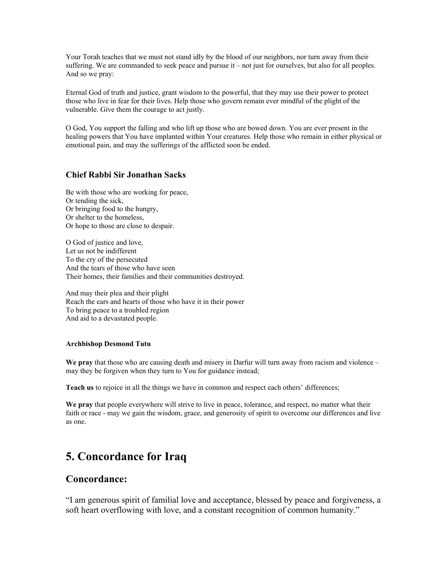Your Torah teaches that we must not stand idly by the blood of our neighbors, nor turn away from their suffering. We are commanded to seek peace and pursue it – not just for ourselves, but also for all peoples. And so we pray:

Eternal God of truth and justice, grant wisdom to the powerful, that they may use their power to protect those who live in fear for their lives. Help those who govern remain ever mindful of the plight of the vulnerable. Give them the courage to act justly.

O God, You support the falling and who lift up those who are bowed down. You are ever present in the healing powers that You have implanted within Your creatures. Help those who remain in either physical or emotional pain, and may the sufferings of the afflicted soon be ended.

#### **Chief Rabbi Sir Jonathan Sacks**

Be with those who are working for peace, Or tending the sick, Or bringing food to the hungry, Or shelter to the homeless, Or hope to those are close to despair.

O God of justice and love, Let us not be indifferent To the cry of the persecuted And the tears of those who have seen Their homes, their families and their communities destroyed.

And may their plea and their plight Reach the ears and hearts of those who have it in their power To bring peace to a troubled region And aid to a devastated people.

#### **Archbishop Desmond Tutu**

We pray that those who are causing death and misery in Darfur will turn away from racism and violence – may they be forgiven when they turn to You for guidance instead;

**Teach us** to rejoice in all the things we have in common and respect each others' differences;

**We pray** that people everywhere will strive to live in peace, tolerance, and respect, no matter what their faith or race - may we gain the wisdom, grace, and generosity of spirit to overcome our differences and live as one.

# **5. Concordance for Iraq**

### **Concordance:**

"I am generous spirit of familial love and acceptance, blessed by peace and forgiveness, a soft heart overflowing with love, and a constant recognition of common humanity."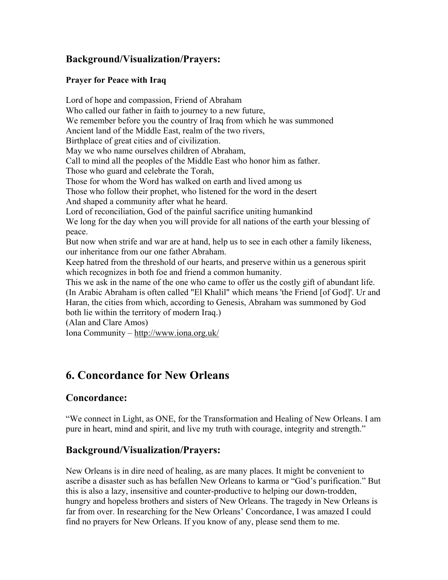## **Background/Visualization/Prayers:**

### **Prayer for Peace with Iraq**

Lord of hope and compassion, Friend of Abraham Who called our father in faith to journey to a new future, We remember before you the country of Iraq from which he was summoned Ancient land of the Middle East, realm of the two rivers, Birthplace of great cities and of civilization. May we who name ourselves children of Abraham, Call to mind all the peoples of the Middle East who honor him as father. Those who guard and celebrate the Torah, Those for whom the Word has walked on earth and lived among us Those who follow their prophet, who listened for the word in the desert And shaped a community after what he heard. Lord of reconciliation, God of the painful sacrifice uniting humankind We long for the day when you will provide for all nations of the earth your blessing of peace. But now when strife and war are at hand, help us to see in each other a family likeness, our inheritance from our one father Abraham. Keep hatred from the threshold of our hearts, and preserve within us a generous spirit which recognizes in both foe and friend a common humanity. This we ask in the name of the one who came to offer us the costly gift of abundant life. (In Arabic Abraham is often called "El Khalil" which means 'the Friend [of God]'. Ur and Haran, the cities from which, according to Genesis, Abraham was summoned by God both lie within the territory of modern Iraq.) (Alan and Clare Amos) Iona Community – http://www.iona.org.uk/

# **6. Concordance for New Orleans**

## **Concordance:**

"We connect in Light, as ONE, for the Transformation and Healing of New Orleans. I am pure in heart, mind and spirit, and live my truth with courage, integrity and strength."

# **Background/Visualization/Prayers:**

New Orleans is in dire need of healing, as are many places. It might be convenient to ascribe a disaster such as has befallen New Orleans to karma or "God's purification." But this is also a lazy, insensitive and counter-productive to helping our down-trodden, hungry and hopeless brothers and sisters of New Orleans. The tragedy in New Orleans is far from over. In researching for the New Orleans' Concordance, I was amazed I could find no prayers for New Orleans. If you know of any, please send them to me.